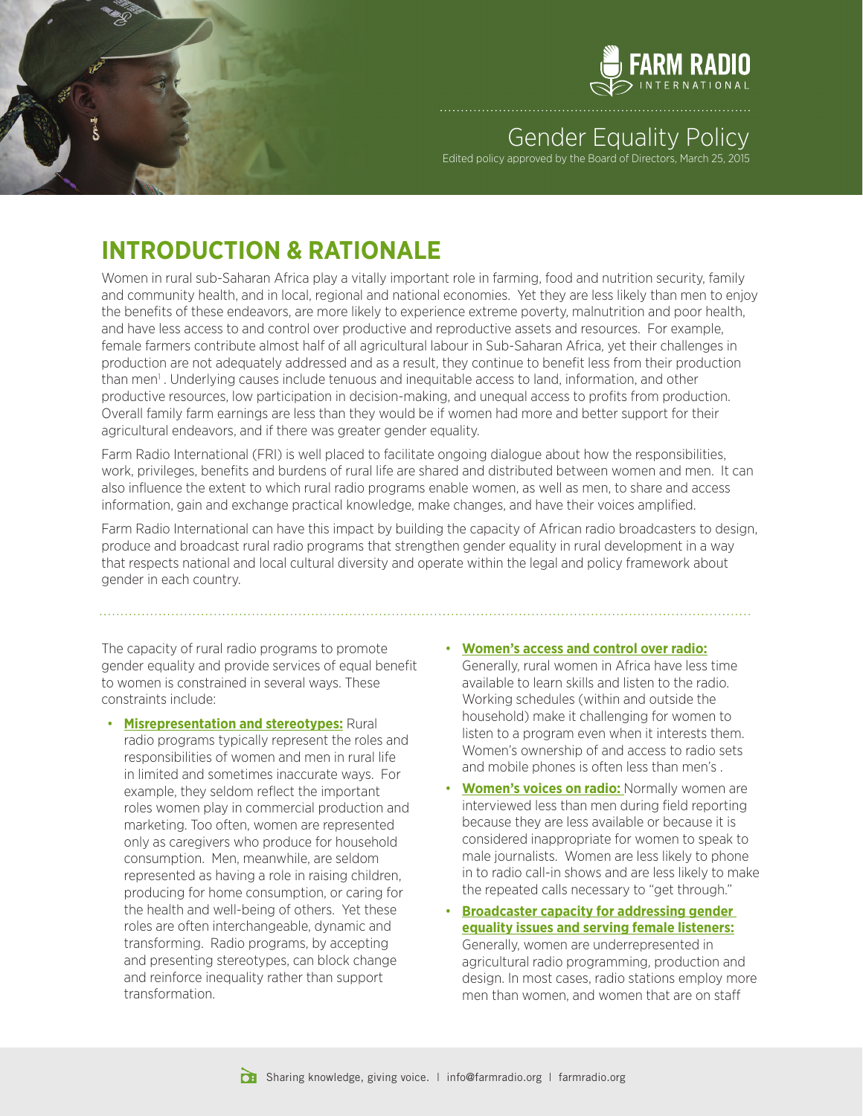

## **Gender Equality Policy**

Edited policy approved by the Board of Directors, March 25, 2015

## **INTRODUCTION & RATIONALE**

Women in rural sub-Saharan Africa play a vitally important role in farming, food and nutrition security, family and community health, and in local, regional and national economies. Yet they are less likely than men to enjoy the benefits of these endeavors, are more likely to experience extreme poverty, malnutrition and poor health, and have less access to and control over productive and reproductive assets and resources. For example, female farmers contribute almost half of all agricultural labour in Sub-Saharan Africa, yet their challenges in production are not adequately addressed and as a result, they continue to benefit less from their production than men<sup>1</sup>. Underlying causes include tenuous and inequitable access to land, information, and other productive resources, low participation in decision-making, and unequal access to profits from production. Overall family farm earnings are less than they would be if women had more and better support for their agricultural endeavors, and if there was greater gender equality.

Farm Radio International (FRI) is well placed to facilitate ongoing dialogue about how the responsibilities, work, privileges, benefits and burdens of rural life are shared and distributed between women and men. It can also influence the extent to which rural radio programs enable women, as well as men, to share and access information, gain and exchange practical knowledge, make changes, and have their voices amplified.

Farm Radio International can have this impact by building the capacity of African radio broadcasters to design, produce and broadcast rural radio programs that strengthen gender equality in rural development in a way that respects national and local cultural diversity and operate within the legal and policy framework about gender in each country.

The capacity of rural radio programs to promote gender equality and provide services of equal benefit to women is constrained in several ways. These constraints include:

- • **Misrepresentation and stereotypes:** Rural radio programs typically represent the roles and responsibilities of women and men in rural life in limited and sometimes inaccurate ways. For example, they seldom reflect the important roles women play in commercial production and marketing. Too often, women are represented only as caregivers who produce for household consumption. Men, meanwhile, are seldom represented as having a role in raising children, producing for home consumption, or caring for the health and well-being of others. Yet these roles are often interchangeable, dynamic and transforming. Radio programs, by accepting and presenting stereotypes, can block change and reinforce inequality rather than support transformation.
- • **Women's access and control over radio:** Generally, rural women in Africa have less time available to learn skills and listen to the radio. Working schedules (within and outside the household) make it challenging for women to listen to a program even when it interests them. Women's ownership of and access to radio sets and mobile phones is often less than men's .
- **Women's voices on radio:** Normally women are interviewed less than men during field reporting because they are less available or because it is considered inappropriate for women to speak to male journalists. Women are less likely to phone in to radio call-in shows and are less likely to make the repeated calls necessary to "get through."
- **Broadcaster capacity for addressing gender equality issues and serving female listeners:** Generally, women are underrepresented in agricultural radio programming, production and design. In most cases, radio stations employ more men than women, and women that are on staff